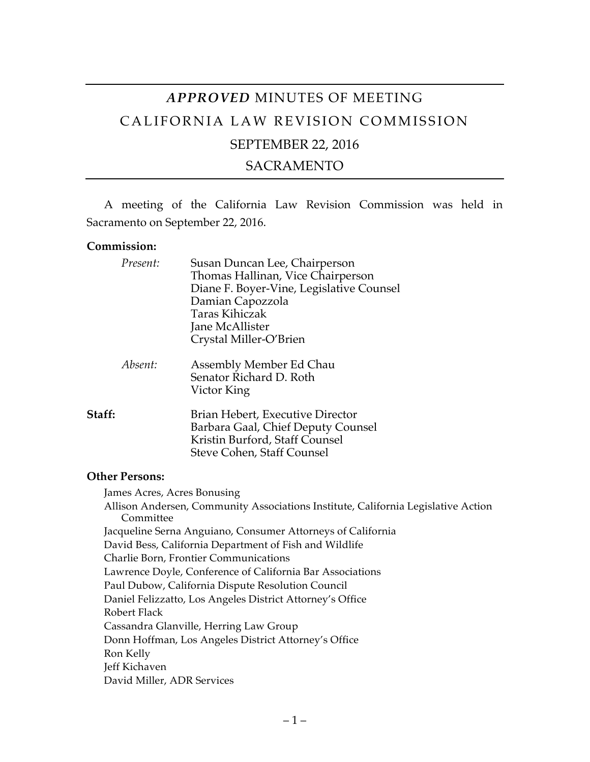# *APPROVED* MINUTES OF MEETING CALIFORNIA LAW REVISION COMMISSION SEPTEMBER 22, 2016

## SACRAMENTO

A meeting of the California Law Revision Commission was held in Sacramento on September 22, 2016.

#### **Commission:**

| Present: | Susan Duncan Lee, Chairperson<br>Thomas Hallinan, Vice Chairperson<br>Diane F. Boyer-Vine, Legislative Counsel<br>Damian Capozzola<br><b>Taras Kihiczak</b><br>Jane McAllister<br>Crystal Miller-O'Brien |
|----------|----------------------------------------------------------------------------------------------------------------------------------------------------------------------------------------------------------|
| Absent:  | Assembly Member Ed Chau<br>Senator Richard D. Roth<br>Victor King                                                                                                                                        |
| Staff:   | Brian Hebert, Executive Director<br>Barbara Gaal, Chief Deputy Counsel<br>Kristin Burford, Staff Counsel<br>Steve Cohen, Staff Counsel                                                                   |

#### **Other Persons:**

James Acres, Acres Bonusing

Allison Andersen, Community Associations Institute, California Legislative Action Committee Jacqueline Serna Anguiano, Consumer Attorneys of California David Bess, California Department of Fish and Wildlife Charlie Born, Frontier Communications Lawrence Doyle, Conference of California Bar Associations Paul Dubow, California Dispute Resolution Council Daniel Felizzatto, Los Angeles District Attorney's Office Robert Flack Cassandra Glanville, Herring Law Group Donn Hoffman, Los Angeles District Attorney's Office Ron Kelly Jeff Kichaven David Miller, ADR Services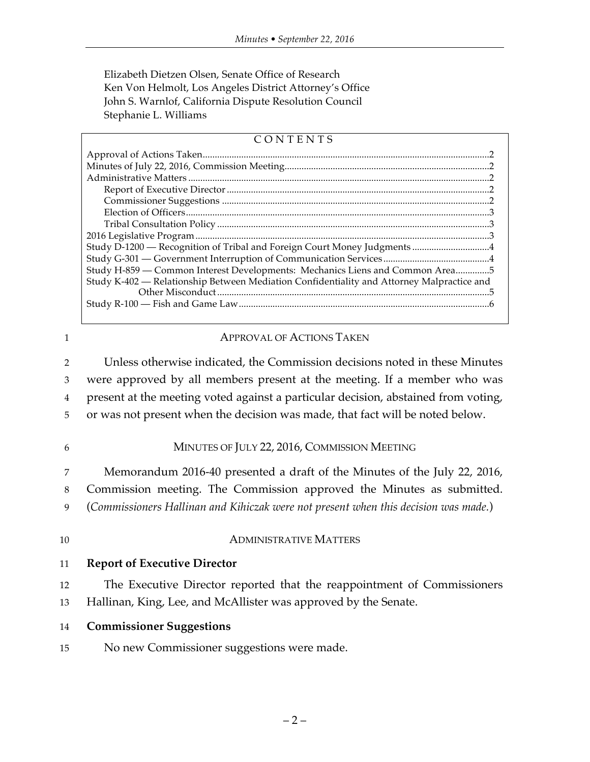Elizabeth Dietzen Olsen, Senate Office of Research Ken Von Helmolt, Los Angeles District Attorney's Office John S. Warnlof, California Dispute Resolution Council Stephanie L. Williams

#### CONTENTS

| Study H-859 - Common Interest Developments: Mechanics Liens and Common Area5              |  |  |
|-------------------------------------------------------------------------------------------|--|--|
| Study K-402 - Relationship Between Mediation Confidentiality and Attorney Malpractice and |  |  |
|                                                                                           |  |  |
|                                                                                           |  |  |
|                                                                                           |  |  |

#### 1 **APPROVAL OF ACTIONS TAKEN**

 Unless otherwise indicated, the Commission decisions noted in these Minutes were approved by all members present at the meeting. If a member who was present at the meeting voted against a particular decision, abstained from voting, or was not present when the decision was made, that fact will be noted below.

# 6 MINUTES OF JULY 22, 2016, COMMISSION MEETING

7 Memorandum 2016-40 presented a draft of the Minutes of the July 22, 2016,

8 Commission meeting. The Commission approved the Minutes as submitted.

9 (*Commissioners Hallinan and Kihiczak were not present when this decision was made.*)

#### 10 ADMINISTRATIVE MATTERS

#### 11 **Report of Executive Director**

12 The Executive Director reported that the reappointment of Commissioners 13 Hallinan, King, Lee, and McAllister was approved by the Senate.

- 14 **Commissioner Suggestions**
- 15 No new Commissioner suggestions were made.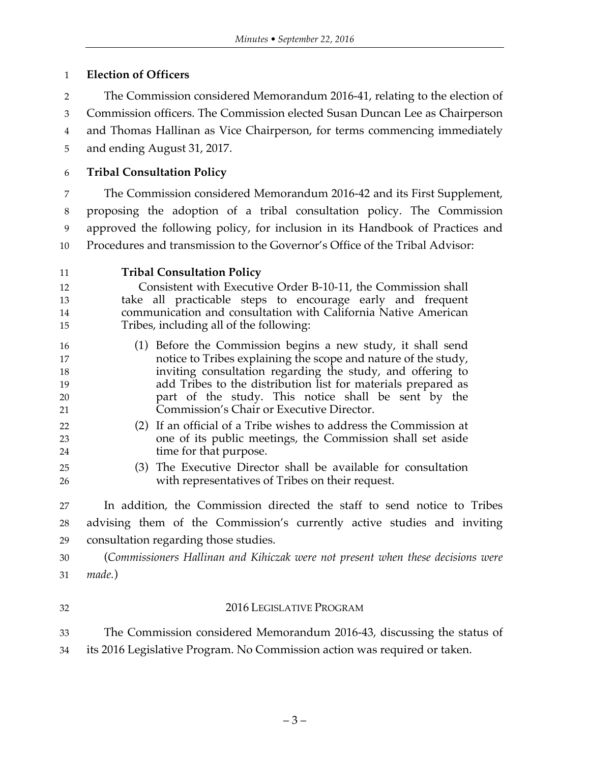## **Election of Officers**

 The Commission considered Memorandum 2016-41, relating to the election of Commission officers. The Commission elected Susan Duncan Lee as Chairperson and Thomas Hallinan as Vice Chairperson, for terms commencing immediately and ending August 31, 2017.

## **Tribal Consultation Policy**

 The Commission considered Memorandum 2016-42 and its First Supplement, proposing the adoption of a tribal consultation policy. The Commission approved the following policy, for inclusion in its Handbook of Practices and Procedures and transmission to the Governor's Office of the Tribal Advisor:

## **Tribal Consultation Policy**

 Consistent with Executive Order B-10-11, the Commission shall take all practicable steps to encourage early and frequent communication and consultation with California Native American Tribes, including all of the following:

- (1) Before the Commission begins a new study, it shall send notice to Tribes explaining the scope and nature of the study, inviting consultation regarding the study, and offering to add Tribes to the distribution list for materials prepared as part of the study. This notice shall be sent by the Commission's Chair or Executive Director.
- (2) If an official of a Tribe wishes to address the Commission at one of its public meetings, the Commission shall set aside 24 time for that purpose.
- (3) The Executive Director shall be available for consultation with representatives of Tribes on their request.

 In addition, the Commission directed the staff to send notice to Tribes advising them of the Commission's currently active studies and inviting consultation regarding those studies.

 (*Commissioners Hallinan and Kihiczak were not present when these decisions were made.*)

- 2016 LEGISLATIVE PROGRAM The Commission considered Memorandum 2016-43, discussing the status of
- its 2016 Legislative Program. No Commission action was required or taken.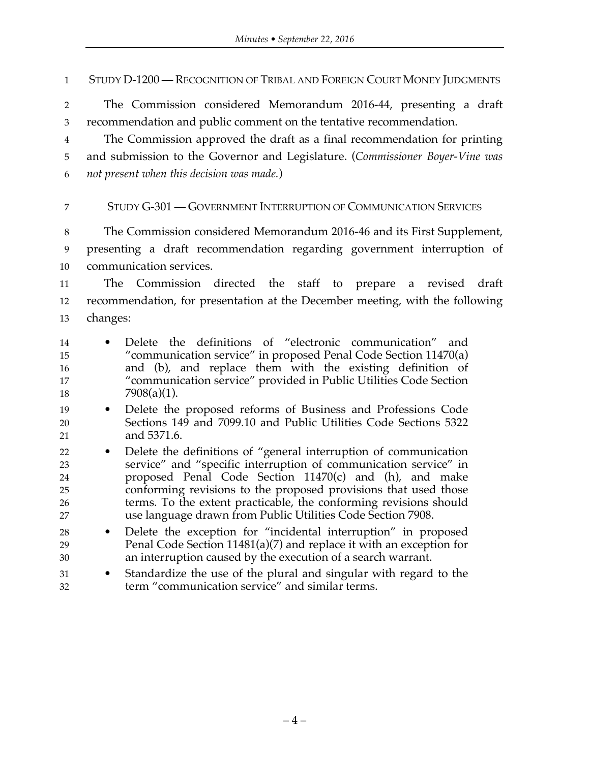STUDY D-1200 — RECOGNITION OF TRIBAL AND FOREIGN COURT MONEY JUDGMENTS

 The Commission considered Memorandum 2016-44, presenting a draft recommendation and public comment on the tentative recommendation.

 The Commission approved the draft as a final recommendation for printing and submission to the Governor and Legislature. (*Commissioner Boyer-Vine was not present when this decision was made.*)

STUDY G-301 — GOVERNMENT INTERRUPTION OF COMMUNICATION SERVICES

 The Commission considered Memorandum 2016-46 and its First Supplement, presenting a draft recommendation regarding government interruption of communication services.

 The Commission directed the staff to prepare a revised draft recommendation, for presentation at the December meeting, with the following changes:

- Delete the definitions of "electronic communication" and "communication service" in proposed Penal Code Section 11470(a) and (b), and replace them with the existing definition of 17 "communication service" provided in Public Utilities Code Section 7908(a)(1).
- Delete the proposed reforms of Business and Professions Code Sections 149 and 7099.10 and Public Utilities Code Sections 5322 and 5371.6.
- Delete the definitions of "general interruption of communication service" and "specific interruption of communication service" in proposed Penal Code Section 11470(c) and (h), and make conforming revisions to the proposed provisions that used those terms. To the extent practicable, the conforming revisions should use language drawn from Public Utilities Code Section 7908.
- Delete the exception for "incidental interruption" in proposed 29 Penal Code Section  $11481(a)(7)$  and replace it with an exception for an interruption caused by the execution of a search warrant.
- Standardize the use of the plural and singular with regard to the term "communication service" and similar terms.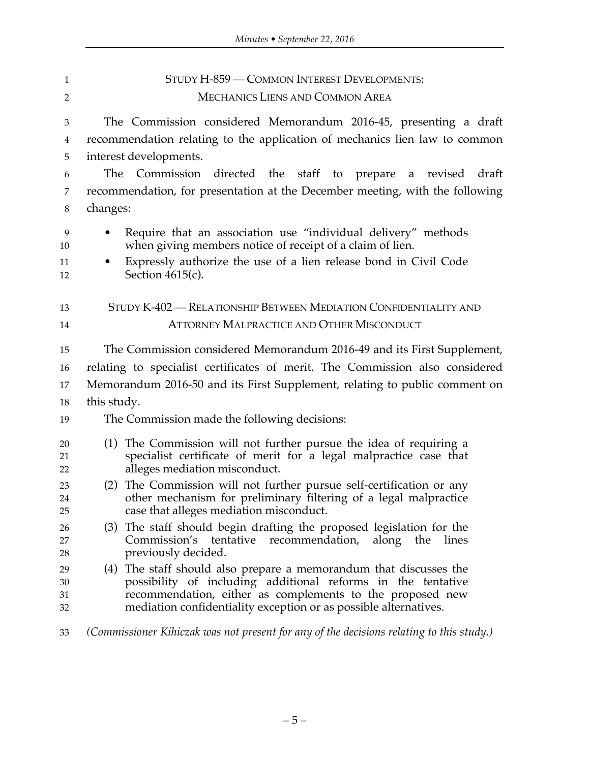| $\mathbf{1}$         | STUDY H-859 - COMMON INTEREST DEVELOPMENTS:                                                                                                                                                                                                                        |
|----------------------|--------------------------------------------------------------------------------------------------------------------------------------------------------------------------------------------------------------------------------------------------------------------|
| 2                    | <b>MECHANICS LIENS AND COMMON AREA</b>                                                                                                                                                                                                                             |
| 3                    | The Commission considered Memorandum 2016-45, presenting a draft                                                                                                                                                                                                   |
| 4                    | recommendation relating to the application of mechanics lien law to common                                                                                                                                                                                         |
| 5                    | interest developments.                                                                                                                                                                                                                                             |
| 6                    | The<br>Commission directed the staff to<br>prepare<br>revised<br>draft<br>a                                                                                                                                                                                        |
| 7                    | recommendation, for presentation at the December meeting, with the following                                                                                                                                                                                       |
| 8                    | changes:                                                                                                                                                                                                                                                           |
| 9<br>10<br>11<br>12  | Require that an association use "individual delivery" methods<br>when giving members notice of receipt of a claim of lien.<br>Expressly authorize the use of a lien release bond in Civil Code<br>Section $4615(c)$ .                                              |
| 13                   | STUDY K-402 — RELATIONSHIP BETWEEN MEDIATION CONFIDENTIALITY AND                                                                                                                                                                                                   |
| 14                   | <b>ATTORNEY MALPRACTICE AND OTHER MISCONDUCT</b>                                                                                                                                                                                                                   |
| 15                   | The Commission considered Memorandum 2016-49 and its First Supplement,                                                                                                                                                                                             |
| 16                   | relating to specialist certificates of merit. The Commission also considered                                                                                                                                                                                       |
| 17                   | Memorandum 2016-50 and its First Supplement, relating to public comment on                                                                                                                                                                                         |
| 18                   | this study.                                                                                                                                                                                                                                                        |
| 19                   | The Commission made the following decisions:                                                                                                                                                                                                                       |
| 20<br>21<br>22       | (1) The Commission will not further pursue the idea of requiring a<br>specialist certificate of merit for a legal malpractice case that<br>alleges mediation misconduct.                                                                                           |
| 23<br>24<br>25       | (2) The Commission will not further pursue self-certification or any<br>other mechanism for preliminary filtering of a legal malpractice<br>case that alleges mediation misconduct.                                                                                |
| 26<br>27<br>28       | (3) The staff should begin drafting the proposed legislation for the<br>Commission's tentative recommendation,<br>along the<br>lines<br>previously decided.                                                                                                        |
| 29<br>30<br>31<br>32 | (4) The staff should also prepare a memorandum that discusses the<br>possibility of including additional reforms in the tentative<br>recommendation, either as complements to the proposed new<br>mediation confidentiality exception or as possible alternatives. |
| ററ                   | Commissionary Vilriarak was not prosent for any of the decisions relative to this study)                                                                                                                                                                           |

*(Commissioner Kihiczak was not present for any of the decisions relating to this study.)*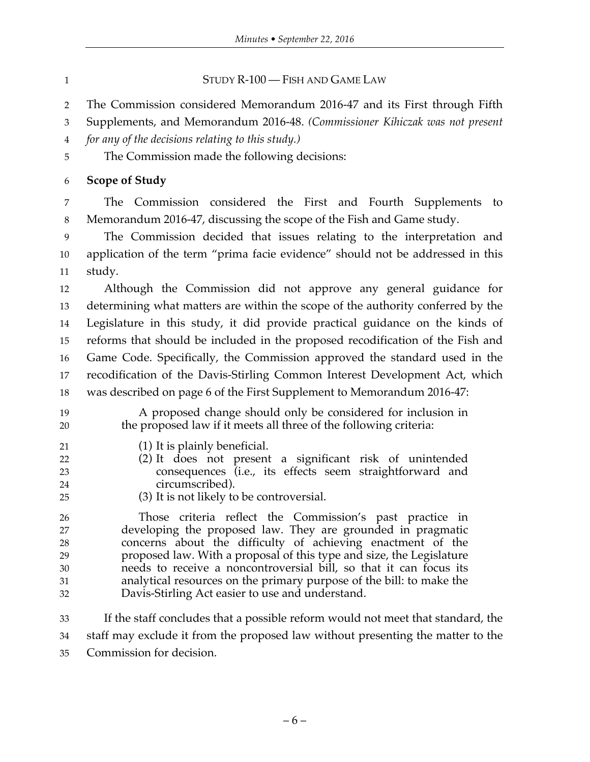**STUDY R-100** — FISH AND GAME LAW The Commission considered Memorandum 2016-47 and its First through Fifth Supplements, and Memorandum 2016-48. *(Commissioner Kihiczak was not present for any of the decisions relating to this study.)* The Commission made the following decisions: **Scope of Study** The Commission considered the First and Fourth Supplements to Memorandum 2016-47, discussing the scope of the Fish and Game study. The Commission decided that issues relating to the interpretation and application of the term "prima facie evidence" should not be addressed in this study. Although the Commission did not approve any general guidance for determining what matters are within the scope of the authority conferred by the Legislature in this study, it did provide practical guidance on the kinds of reforms that should be included in the proposed recodification of the Fish and Game Code. Specifically, the Commission approved the standard used in the recodification of the Davis-Stirling Common Interest Development Act, which was described on page 6 of the First Supplement to Memorandum 2016-47: A proposed change should only be considered for inclusion in the proposed law if it meets all three of the following criteria: (1) It is plainly beneficial. (2) It does not present a significant risk of unintended consequences (i.e., its effects seem straightforward and circumscribed). (3) It is not likely to be controversial. Those criteria reflect the Commission's past practice in developing the proposed law. They are grounded in pragmatic concerns about the difficulty of achieving enactment of the proposed law. With a proposal of this type and size, the Legislature needs to receive a noncontroversial bill, so that it can focus its analytical resources on the primary purpose of the bill: to make the Davis-Stirling Act easier to use and understand. If the staff concludes that a possible reform would not meet that standard, the staff may exclude it from the proposed law without presenting the matter to the Commission for decision.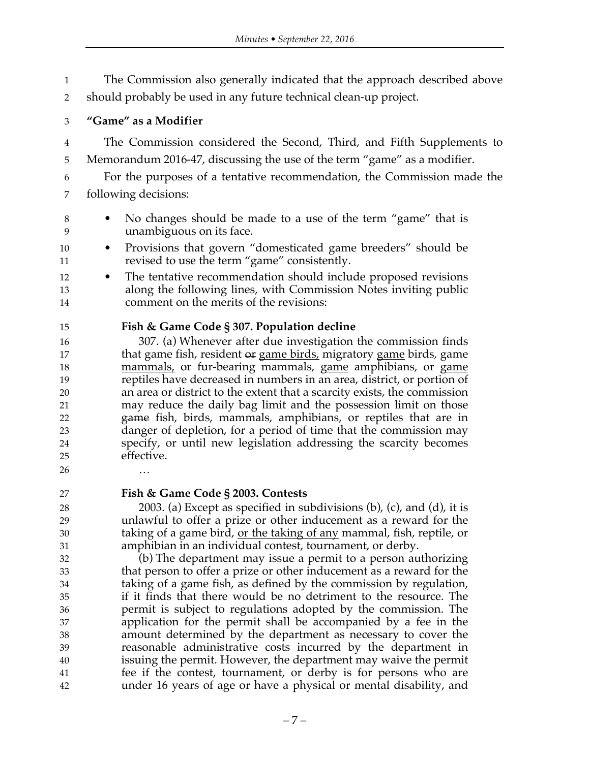The Commission also generally indicated that the approach described above should probably be used in any future technical clean-up project.

**"Game" as a Modifier**

 The Commission considered the Second, Third, and Fifth Supplements to Memorandum 2016-47, discussing the use of the term "game" as a modifier.

 For the purposes of a tentative recommendation, the Commission made the following decisions:

- No changes should be made to a use of the term "game" that is unambiguous on its face.
- Provisions that govern "domesticated game breeders" should be revised to use the term "game" consistently.
- The tentative recommendation should include proposed revisions along the following lines, with Commission Notes inviting public comment on the merits of the revisions:
- **Fish & Game Code § 307. Population decline**

 307. (a) Whenever after due investigation the commission finds that game fish, resident or game birds, migratory game birds, game mammals, or fur-bearing mammals, game amphibians, or game reptiles have decreased in numbers in an area, district, or portion of an area or district to the extent that a scarcity exists, the commission may reduce the daily bag limit and the possession limit on those game fish, birds, mammals, amphibians, or reptiles that are in danger of depletion, for a period of time that the commission may specify, or until new legislation addressing the scarcity becomes effective.

- …
- **Fish & Game Code § 2003. Contests**

 2003. (a) Except as specified in subdivisions (b), (c), and (d), it is unlawful to offer a prize or other inducement as a reward for the 30 taking of a game bird, <u>or the taking of any</u> mammal, fish, reptile, or amphibian in an individual contest, tournament, or derby.

 (b) The department may issue a permit to a person authorizing that person to offer a prize or other inducement as a reward for the taking of a game fish, as defined by the commission by regulation, if it finds that there would be no detriment to the resource. The permit is subject to regulations adopted by the commission. The application for the permit shall be accompanied by a fee in the amount determined by the department as necessary to cover the reasonable administrative costs incurred by the department in issuing the permit. However, the department may waive the permit fee if the contest, tournament, or derby is for persons who are under 16 years of age or have a physical or mental disability, and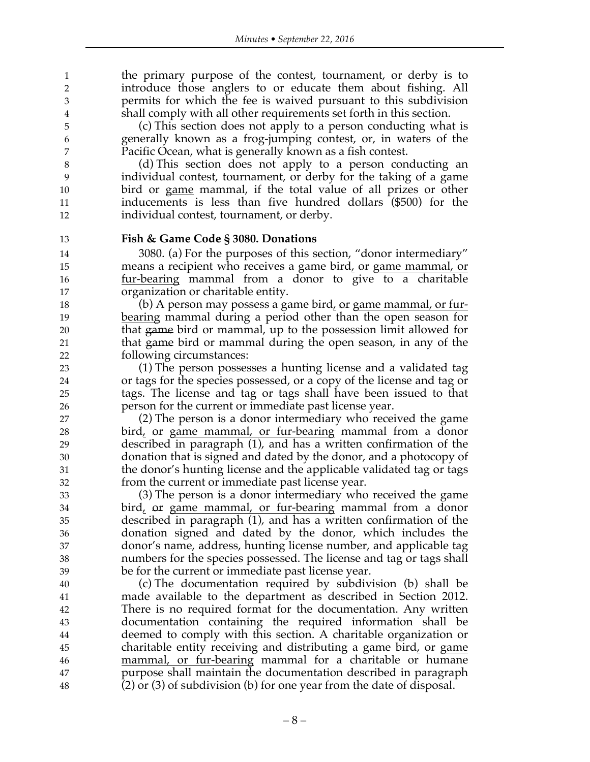the primary purpose of the contest, tournament, or derby is to introduce those anglers to or educate them about fishing. All permits for which the fee is waived pursuant to this subdivision shall comply with all other requirements set forth in this section.

 (c) This section does not apply to a person conducting what is generally known as a frog-jumping contest, or, in waters of the Pacific Ocean, what is generally known as a fish contest.

 (d) This section does not apply to a person conducting an individual contest, tournament, or derby for the taking of a game bird or game mammal, if the total value of all prizes or other inducements is less than five hundred dollars (\$500) for the individual contest, tournament, or derby.

**Fish & Game Code § 3080. Donations**

 3080. (a) For the purposes of this section, "donor intermediary" 15 means a recipient who receives a game bird, or game mammal, or fur-bearing mammal from a donor to give to a charitable organization or charitable entity.

18 (b) A person may possess a game bird, or game mammal, or fur- bearing mammal during a period other than the open season for that game bird or mammal, up to the possession limit allowed for that game bird or mammal during the open season, in any of the following circumstances:

 (1) The person possesses a hunting license and a validated tag or tags for the species possessed, or a copy of the license and tag or tags. The license and tag or tags shall have been issued to that person for the current or immediate past license year.

 (2) The person is a donor intermediary who received the game bird, or game mammal, or fur-bearing mammal from a donor described in paragraph (1), and has a written confirmation of the donation that is signed and dated by the donor, and a photocopy of the donor's hunting license and the applicable validated tag or tags from the current or immediate past license year.

 (3) The person is a donor intermediary who received the game bird, or game mammal, or fur-bearing mammal from a donor described in paragraph (1), and has a written confirmation of the donation signed and dated by the donor, which includes the donor's name, address, hunting license number, and applicable tag numbers for the species possessed. The license and tag or tags shall be for the current or immediate past license year.

 (c) The documentation required by subdivision (b) shall be made available to the department as described in Section 2012. There is no required format for the documentation. Any written documentation containing the required information shall be deemed to comply with this section. A charitable organization or 45 charitable entity receiving and distributing a game bird, or game mammal, or fur-bearing mammal for a charitable or humane purpose shall maintain the documentation described in paragraph (2) or (3) of subdivision (b) for one year from the date of disposal.